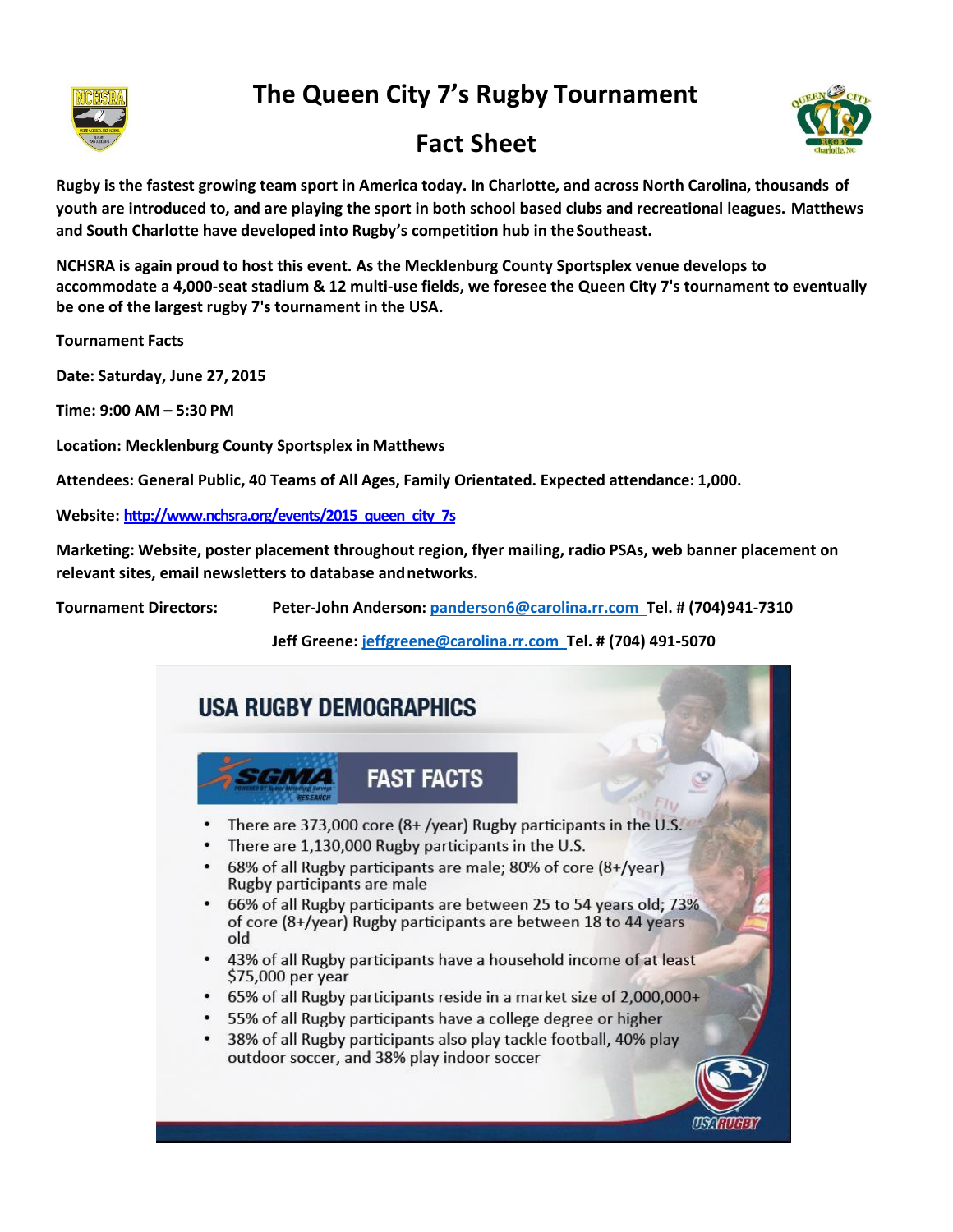



## **Fact Sheet**



**Rugby is the fastest growing team sport in America today. In Charlotte, and across North Carolina, thousands of youth are introduced to, and are playing the sport in both school based clubs and recreational leagues. Matthews and South Charlotte have developed into Rugby's competition hub in theSoutheast.**

**NCHSRA is again proud to host this event. As the Mecklenburg County Sportsplex venue develops to accommodate a 4,000-seat stadium & 12 multi-use fields, we foresee the Queen City 7's tournament to eventually be one of the largest rugby 7's tournament in the USA.**

**Tournament Facts**

**Date: Saturday, June 27, 2015**

**Time: 9:00 AM – 5:30 PM**

**Location: Mecklenburg County Sportsplex in Matthews**

**Attendees: General Public, 40 Teams of All Ages, Family Orientated. Expected attendance: 1,000.** 

**Website: [http://www.nchsra.org/events/2015\\_queen\\_city\\_7s](http://www.nchsra.org/events/2015_queen_city_7s)**

**Marketing: Website, poster placement throughout region, flyer mailing, radio PSAs, web banner placement on relevant sites, email newsletters to database andnetworks.**

**Tournament Directors: Peter-John Anderson[: panderson6@carolina.rr.com T](mailto:panderson6@carolina.rr.com)el. # (704)941-7310**

**Jeff Greene[: jeffgreene@carolina.rr.com T](mailto:jeffgreene@carolina.rr.com)el. # (704) 491-5070**

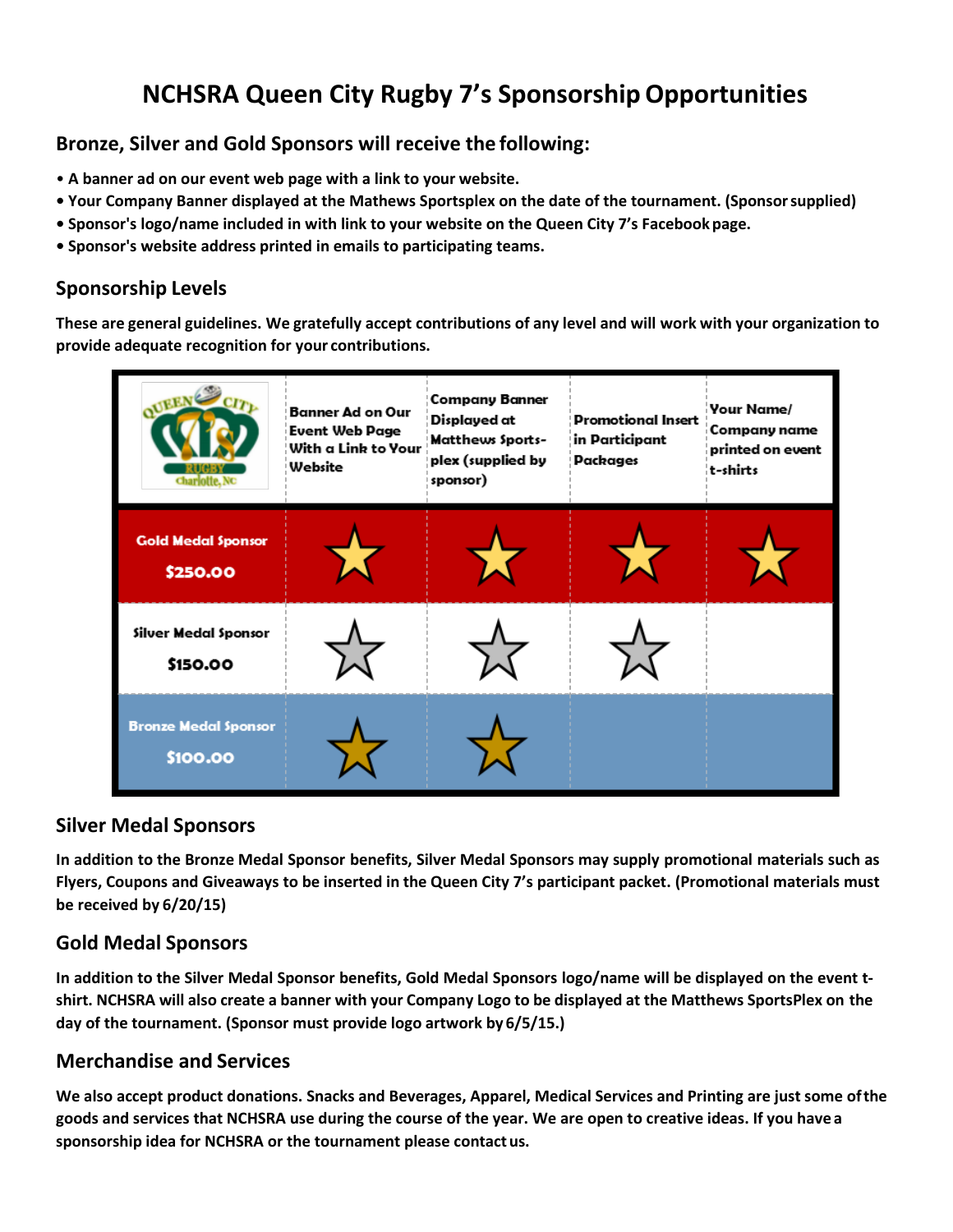# **NCHSRA Queen City Rugby 7's SponsorshipOpportunities**

### **Bronze, Silver and Gold Sponsors will receive the following:**

- **A banner ad on our event web page with a link to your website.**
- **• Your Company Banner displayed at the Mathews Sportsplex on the date of the tournament. (Sponsorsupplied)**
- **• Sponsor's logo/name included in with link to your website on the Queen City 7's Facebook page.**
- **• Sponsor's website address printed in emails to participating teams.**

### **Sponsorship Levels**

These are general guidelines. We gratefully accept contributions of any level and will work with your organization to **provide adequate recognition for your contributions.**

|                                         | Banner Ad on Our<br>Event Web Page<br>With a Link to Your<br>Website | <b>Company Banner</b><br>Displayed at<br><b>Matthews Sports-</b><br>plex (supplied by<br>sponsor) | <b>Promotional Insert</b><br>in Participant<br>Packages | Your Name/<br>Company name<br>printed on event<br>t-shirts |
|-----------------------------------------|----------------------------------------------------------------------|---------------------------------------------------------------------------------------------------|---------------------------------------------------------|------------------------------------------------------------|
| <b>Gold Medal Sponsor</b><br>\$250.00   |                                                                      |                                                                                                   |                                                         |                                                            |
| Silver Medal Sponsor<br>\$150.00        |                                                                      |                                                                                                   |                                                         |                                                            |
| <b>Bronze Medal Sponsor</b><br>\$100.00 |                                                                      |                                                                                                   |                                                         |                                                            |

#### **Silver Medal Sponsors**

In addition to the Bronze Medal Sponsor benefits, Silver Medal Sponsors may supply promotional materials such as Flyers, Coupons and Giveaways to be inserted in the Queen City 7's participant packet. (Promotional materials must **be received by 6/20/15)**

#### **Gold Medal Sponsors**

In addition to the Silver Medal Sponsor benefits, Gold Medal Sponsors logo/name will be displayed on the event t**shirt. NCHSRA will also create a banner with your Company Logo to be displayed at the Matthews SportsPlex on the day of the tournament. (Sponsor must provide logo artwork by 6/5/15.)**

#### **Merchandise and Services**

**We also accept product donations. Snacks and Beverages, Apparel, Medical Services and Printing are just some ofthe goods and services that NCHSRA use during the course of the year. We are open to creative ideas. If you have a sponsorship idea for NCHSRA or the tournament please contact us.**